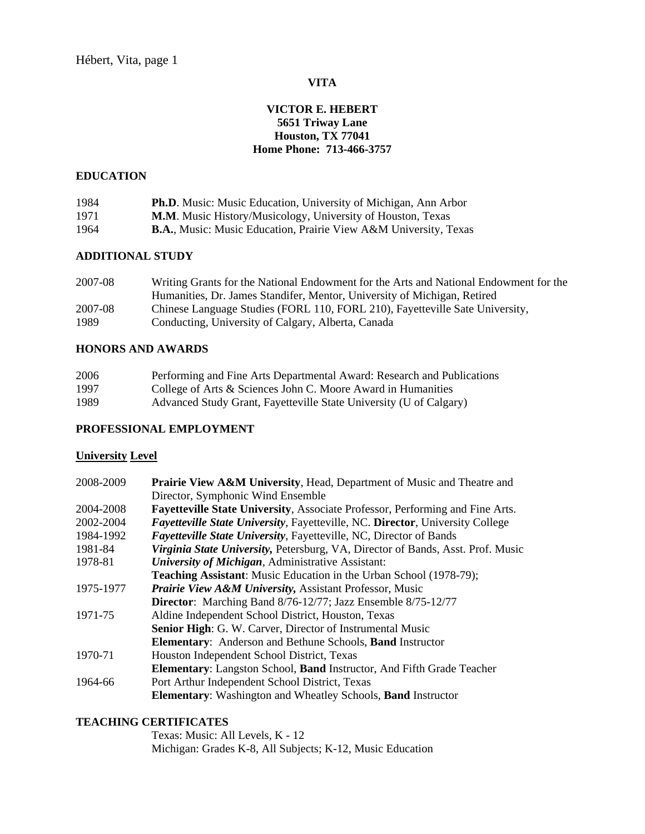## **VITA**

# **VICTOR E. HEBERT 5651 Triway Lane Houston, TX 77041 Home Phone: 713-466-3757**

#### **EDUCATION**

| 1984 | <b>Ph.D.</b> Music: Music Education, University of Michigan, Ann Arbor      |
|------|-----------------------------------------------------------------------------|
| 1971 | M.M. Music History/Musicology, University of Houston, Texas                 |
| 1964 | <b>B.A., Music: Music Education, Prairie View A&amp;M University, Texas</b> |

# **ADDITIONAL STUDY**

| 2007-08 | Writing Grants for the National Endowment for the Arts and National Endowment for the |
|---------|---------------------------------------------------------------------------------------|
|         | Humanities, Dr. James Standifer, Mentor, University of Michigan, Retired              |
| 2007-08 | Chinese Language Studies (FORL 110, FORL 210), Fayetteville Sate University,          |
| 1989    | Conducting, University of Calgary, Alberta, Canada                                    |

# **HONORS AND AWARDS**

| 2006 | Performing and Fine Arts Departmental Award: Research and Publications |
|------|------------------------------------------------------------------------|
| 1997 | College of Arts $\&$ Sciences John C. Moore Award in Humanities        |
| 1989 | Advanced Study Grant, Fayetteville State University (U of Calgary)     |

## **PROFESSIONAL EMPLOYMENT**

### **University Level**

| 2008-2009 | Prairie View A&M University, Head, Department of Music and Theatre and                |
|-----------|---------------------------------------------------------------------------------------|
|           | Director, Symphonic Wind Ensemble                                                     |
| 2004-2008 | Fayetteville State University, Associate Professor, Performing and Fine Arts.         |
| 2002-2004 | <i>Fayetteville State University</i> , Fayetteville, NC. Director, University College |
| 1984-1992 | <b>Fayetteville State University, Fayetteville, NC, Director of Bands</b>             |
| 1981-84   | Virginia State University, Petersburg, VA, Director of Bands, Asst. Prof. Music       |
| 1978-81   | University of Michigan, Administrative Assistant:                                     |
|           | <b>Teaching Assistant:</b> Music Education in the Urban School (1978-79);             |
| 1975-1977 | <b>Prairie View A&amp;M University, Assistant Professor, Music</b>                    |
|           | Director: Marching Band 8/76-12/77; Jazz Ensemble 8/75-12/77                          |
| 1971-75   | Aldine Independent School District, Houston, Texas                                    |
|           | Senior High: G. W. Carver, Director of Instrumental Music                             |
|           | <b>Elementary:</b> Anderson and Bethune Schools, <b>Band</b> Instructor               |
| 1970-71   | Houston Independent School District, Texas                                            |
|           | <b>Elementary:</b> Langston School, <b>Band</b> Instructor, And Fifth Grade Teacher   |
| 1964-66   | Port Arthur Independent School District, Texas                                        |
|           | <b>Elementary:</b> Washington and Wheatley Schools, <b>Band</b> Instructor            |

## **TEACHING CERTIFICATES**

 Texas: Music: All Levels, K - 12 Michigan: Grades K-8, All Subjects; K-12, Music Education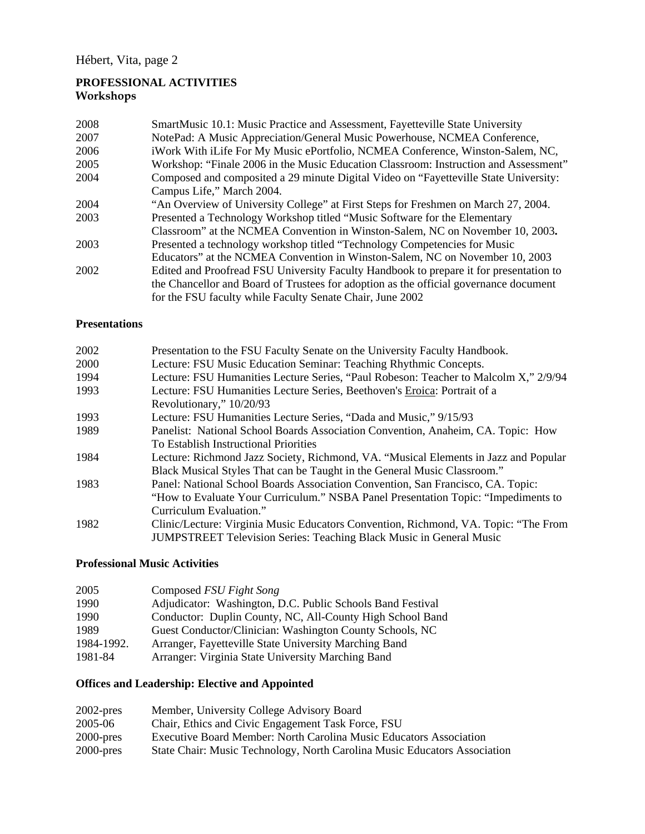# **PROFESSIONAL ACTIVITIES Workshops**

| 2008 | SmartMusic 10.1: Music Practice and Assessment, Fayetteville State University          |
|------|----------------------------------------------------------------------------------------|
| 2007 | NotePad: A Music Appreciation/General Music Powerhouse, NCMEA Conference,              |
| 2006 | iWork With iLife For My Music ePortfolio, NCMEA Conference, Winston-Salem, NC,         |
| 2005 | Workshop: "Finale 2006 in the Music Education Classroom: Instruction and Assessment"   |
| 2004 | Composed and composited a 29 minute Digital Video on "Fayetteville State University:   |
|      | Campus Life," March 2004.                                                              |
| 2004 | "An Overview of University College" at First Steps for Freshmen on March 27, 2004.     |
| 2003 | Presented a Technology Workshop titled "Music Software for the Elementary              |
|      | Classroom" at the NCMEA Convention in Winston-Salem, NC on November 10, 2003.          |
| 2003 | Presented a technology workshop titled "Technology Competencies for Music              |
|      | Educators" at the NCMEA Convention in Winston-Salem, NC on November 10, 2003           |
| 2002 | Edited and Proofread FSU University Faculty Handbook to prepare it for presentation to |
|      | the Chancellor and Board of Trustees for adoption as the official governance document  |
|      | for the FSU faculty while Faculty Senate Chair, June 2002                              |

## **Presentations**

| 2002 | Presentation to the FSU Faculty Senate on the University Faculty Handbook.           |
|------|--------------------------------------------------------------------------------------|
| 2000 | Lecture: FSU Music Education Seminar: Teaching Rhythmic Concepts.                    |
| 1994 | Lecture: FSU Humanities Lecture Series, "Paul Robeson: Teacher to Malcolm X," 2/9/94 |
| 1993 | Lecture: FSU Humanities Lecture Series, Beethoven's Eroica: Portrait of a            |
|      | Revolutionary," 10/20/93                                                             |
| 1993 | Lecture: FSU Humanities Lecture Series, "Dada and Music," 9/15/93                    |
| 1989 | Panelist: National School Boards Association Convention, Anaheim, CA. Topic: How     |
|      | To Establish Instructional Priorities                                                |
| 1984 | Lecture: Richmond Jazz Society, Richmond, VA. "Musical Elements in Jazz and Popular  |
|      | Black Musical Styles That can be Taught in the General Music Classroom."             |
| 1983 | Panel: National School Boards Association Convention, San Francisco, CA. Topic:      |
|      | "How to Evaluate Your Curriculum." NSBA Panel Presentation Topic: "Impediments to    |
|      | Curriculum Evaluation."                                                              |
| 1982 | Clinic/Lecture: Virginia Music Educators Convention, Richmond, VA. Topic: "The From  |
|      | <b>JUMPSTREET Television Series: Teaching Black Music in General Music</b>           |

# **Professional Music Activities**

| 2005       | Composed FSU Fight Song                                    |
|------------|------------------------------------------------------------|
| 1990       | Adjudicator: Washington, D.C. Public Schools Band Festival |
| 1990       | Conductor: Duplin County, NC, All-County High School Band  |
| 1989       | Guest Conductor/Clinician: Washington County Schools, NC   |
| 1984-1992. | Arranger, Fayetteville State University Marching Band      |
| 1981-84    | Arranger: Virginia State University Marching Band          |

# **Offices and Leadership: Elective and Appointed**

| $2002$ -pres | Member, University College Advisory Board                                 |
|--------------|---------------------------------------------------------------------------|
| 2005-06      | Chair, Ethics and Civic Engagement Task Force, FSU                        |
| $2000$ -pres | Executive Board Member: North Carolina Music Educators Association        |
| $2000$ -pres | State Chair: Music Technology, North Carolina Music Educators Association |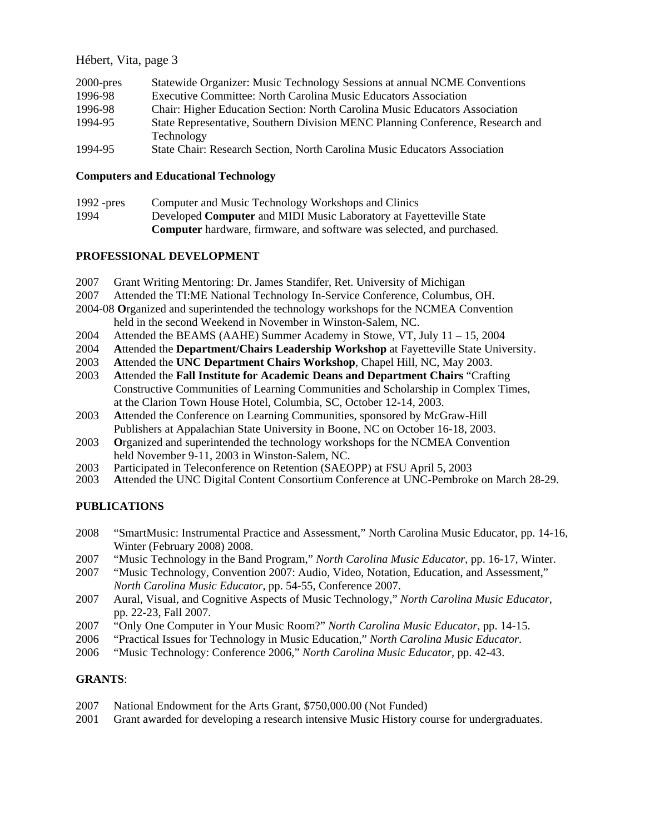## Hébert, Vita, page 3

| $2000$ -pres | Statewide Organizer: Music Technology Sessions at annual NCME Conventions      |
|--------------|--------------------------------------------------------------------------------|
| 1996-98      | <b>Executive Committee: North Carolina Music Educators Association</b>         |
| 1996-98      | Chair: Higher Education Section: North Carolina Music Educators Association    |
| 1994-95      | State Representative, Southern Division MENC Planning Conference, Research and |
|              | Technology                                                                     |
| 1994-95      | State Chair: Research Section, North Carolina Music Educators Association      |

#### **Computers and Educational Technology**

| 1992 - $pres$ | Computer and Music Technology Workshops and Clinics                           |
|---------------|-------------------------------------------------------------------------------|
| 1994          | Developed <b>Computer</b> and MIDI Music Laboratory at Fayetteville State     |
|               | <b>Computer</b> hardware, firmware, and software was selected, and purchased. |

## **PROFESSIONAL DEVELOPMENT**

- 2007 Grant Writing Mentoring: Dr. James Standifer, Ret. University of Michigan
- 2007 Attended the TI:ME National Technology In-Service Conference, Columbus, OH.
- 2004-08 **O**rganized and superintended the technology workshops for the NCMEA Convention held in the second Weekend in November in Winston-Salem, NC.
- 2004 Attended the BEAMS (AAHE) Summer Academy in Stowe, VT, July 11 15, 2004
- 2004 **A**ttended the **Department/Chairs Leadership Workshop** at Fayetteville State University.
- 2003 **A**ttended the **UNC Department Chairs Workshop**, Chapel Hill, NC, May 2003.
- 2003 **A**ttended the **Fall Institute for Academic Deans and Department Chairs** "Crafting Constructive Communities of Learning Communities and Scholarship in Complex Times, at the Clarion Town House Hotel, Columbia, SC, October 12-14, 2003.
- 2003 **A**ttended the Conference on Learning Communities, sponsored by McGraw-Hill Publishers at Appalachian State University in Boone, NC on October 16-18, 2003.
- 2003 **O**rganized and superintended the technology workshops for the NCMEA Convention held November 9-11, 2003 in Winston-Salem, NC.
- 2003 Participated in Teleconference on Retention (SAEOPP) at FSU April 5, 2003
- Attended the UNC Digital Content Consortium Conference at UNC-Pembroke on March 28-29.

# **PUBLICATIONS**

- 2008 "SmartMusic: Instrumental Practice and Assessment," North Carolina Music Educator, pp. 14-16, Winter (February 2008) 2008.
- 2007 "Music Technology in the Band Program," *North Carolina Music Educator*, pp. 16-17, Winter.
- 2007 "Music Technology, Convention 2007: Audio, Video, Notation, Education, and Assessment," *North Carolina Music Educator*, pp. 54-55, Conference 2007.
- 2007 Aural, Visual, and Cognitive Aspects of Music Technology," *North Carolina Music Educator*, pp. 22-23, Fall 2007.
- 2007 "Only One Computer in Your Music Room?" *North Carolina Music Educator*, pp. 14-15.
- 2006 "Practical Issues for Technology in Music Education," *North Carolina Music Educator*.
- 2006 "Music Technology: Conference 2006," *North Carolina Music Educator,* pp. 42-43.

## **GRANTS**:

- 2007 National Endowment for the Arts Grant, \$750,000.00 (Not Funded)
- 2001 Grant awarded for developing a research intensive Music History course for undergraduates.